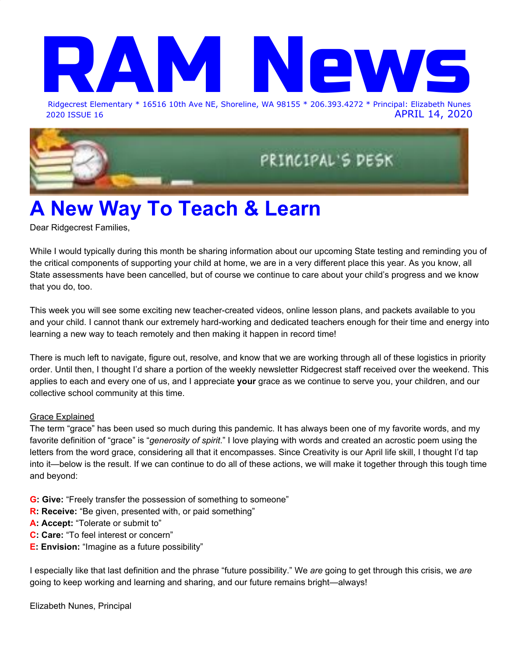## Ridgecrest Elemen Ridgecrest Elementary \* 16516 10th Ave NE, Shoreline, WA 98155 \* 206.393.4272 \* Principal: Elizabeth Nunes

2020 ISSUE 16 APRIL 14, 2020

PRINCIPAL'S DESK

### **A New Way To Teach & Learn**

Dear Ridgecrest Families,

While I would typically during this month be sharing information about our upcoming State testing and reminding you of the critical components of supporting your child at home, we are in a very different place this year. As you know, all State assessments have been cancelled, but of course we continue to care about your child's progress and we know that you do, too.

This week you will see some exciting new teacher-created videos, online lesson plans, and packets available to you and your child. I cannot thank our extremely hard-working and dedicated teachers enough for their time and energy into learning a new way to teach remotely and then making it happen in record time!

There is much left to navigate, figure out, resolve, and know that we are working through all of these logistics in priority order. Until then, I thought I'd share a portion of the weekly newsletter Ridgecrest staff received over the weekend. This applies to each and every one of us, and I appreciate **your** grace as we continue to serve you, your children, and our collective school community at this time.

### Grace Explained

The term "grace" has been used so much during this pandemic. It has always been one of my favorite words, and my favorite definition of "grace" is "*generosity of spirit*." I love playing with words and created an acrostic poem using the letters from the word grace, considering all that it encompasses. Since Creativity is our April life skill, I thought I'd tap into it—below is the result. If we can continue to do all of these actions, we will make it together through this tough time and beyond:

- **G: Give:** "Freely transfer the possession of something to someone"
- **R: Receive:** "Be given, presented with, or paid something"
- **A: Accept:** "Tolerate or submit to"
- **C: Care:** "To feel interest or concern"
- **E: Envision:** "Imagine as a future possibility"

I especially like that last definition and the phrase "future possibility." We *are* going to get through this crisis, we *are* going to keep working and learning and sharing, and our future remains bright—always!

Elizabeth Nunes, Principal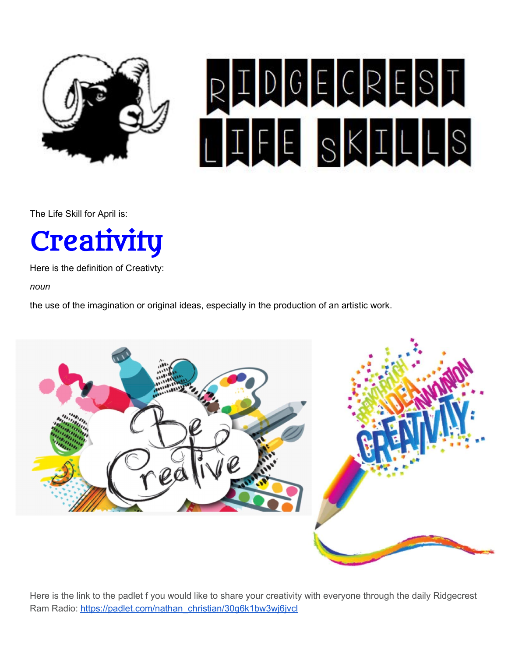

# RIDGECRESI **THE SKILLS**

The Life Skill for April is:



Here is the definition of Creativty:

*noun*

the use of the imagination or original ideas, especially in the production of an artistic work.



Here is the link to the padlet f you would like to share your creativity with everyone through the daily Ridgecrest Ram Radio: [https://padlet.com/nathan\\_christian/30g6k1bw3wj6jvcl](https://padlet.com/nathan_christian/30g6k1bw3wj6jvcl)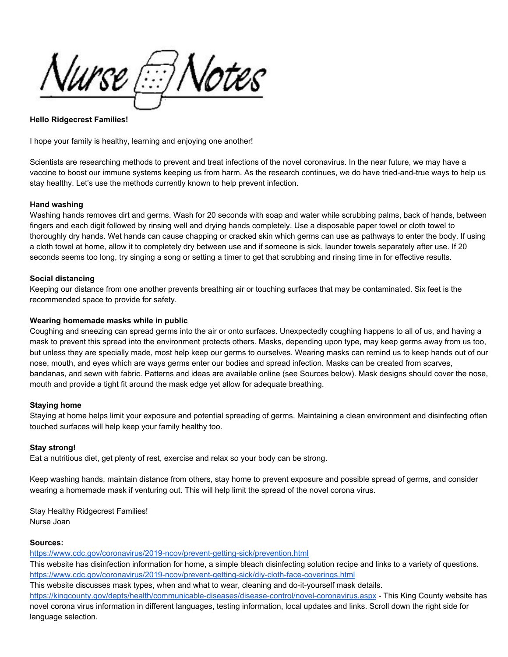*Nurse [:::] Notes* 

#### **Hello Ridgecrest Families!**

I hope your family is healthy, learning and enjoying one another!

Scientists are researching methods to prevent and treat infections of the novel coronavirus. In the near future, we may have a vaccine to boost our immune systems keeping us from harm. As the research continues, we do have tried-and-true ways to help us stay healthy. Let's use the methods currently known to help prevent infection.

#### **Hand washing**

Washing hands removes dirt and germs. Wash for 20 seconds with soap and water while scrubbing palms, back of hands, between fingers and each digit followed by rinsing well and drying hands completely. Use a disposable paper towel or cloth towel to thoroughly dry hands. Wet hands can cause chapping or cracked skin which germs can use as pathways to enter the body. If using a cloth towel at home, allow it to completely dry between use and if someone is sick, launder towels separately after use. If 20 seconds seems too long, try singing a song or setting a timer to get that scrubbing and rinsing time in for effective results.

#### **Social distancing**

Keeping our distance from one another prevents breathing air or touching surfaces that may be contaminated. Six feet is the recommended space to provide for safety.

#### **Wearing homemade masks while in public**

Coughing and sneezing can spread germs into the air or onto surfaces. Unexpectedly coughing happens to all of us, and having a mask to prevent this spread into the environment protects others. Masks, depending upon type, may keep germs away from us too, but unless they are specially made, most help keep our germs to ourselves. Wearing masks can remind us to keep hands out of our nose, mouth, and eyes which are ways germs enter our bodies and spread infection. Masks can be created from scarves, bandanas, and sewn with fabric. Patterns and ideas are available online (see Sources below). Mask designs should cover the nose, mouth and provide a tight fit around the mask edge yet allow for adequate breathing.

#### **Staying home**

Staying at home helps limit your exposure and potential spreading of germs. Maintaining a clean environment and disinfecting often touched surfaces will help keep your family healthy too.

#### **Stay strong!**

Eat a nutritious diet, get plenty of rest, exercise and relax so your body can be strong.

Keep washing hands, maintain distance from others, stay home to prevent exposure and possible spread of germs, and consider wearing a homemade mask if venturing out. This will help limit the spread of the novel corona virus.

Stay Healthy Ridgecrest Families! Nurse Joan

#### **Sources:**

<https://www.cdc.gov/coronavirus/2019-ncov/prevent-getting-sick/prevention.html>

This website has disinfection information for home, a simple bleach disinfecting solution recipe and links to a variety of questions. <https://www.cdc.gov/coronavirus/2019-ncov/prevent-getting-sick/diy-cloth-face-coverings.html>

This website discusses mask types, when and what to wear, cleaning and do-it-yourself mask details.

<https://kingcounty.gov/depts/health/communicable-diseases/disease-control/novel-coronavirus.aspx> - This King County website has novel corona virus information in different languages, testing information, local updates and links. Scroll down the right side for language selection.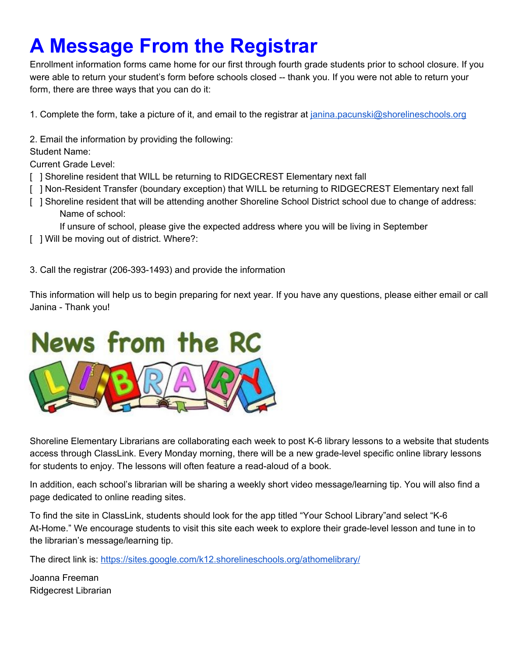### **A Message From the Registrar**

Enrollment information forms came home for our first through fourth grade students prior to school closure. If you were able to return your student's form before schools closed -- thank you. If you were not able to return your form, there are three ways that you can do it:

1. Complete the form, take a picture of it, and email to the registrar at [janina.pacunski@shorelineschools.org](mailto:janina.pacunski@shorelineschools.org)

2. Email the information by providing the following:

### Student Name:

Current Grade Level:

- [ ] Shoreline resident that WILL be returning to RIDGECREST Elementary next fall
- [ ] Non-Resident Transfer (boundary exception) that WILL be returning to RIDGECREST Elementary next fall
- [ ] Shoreline resident that will be attending another Shoreline School District school due to change of address: Name of school:

If unsure of school, please give the expected address where you will be living in September

[ ] Will be moving out of district. Where?:

3. Call the registrar (206-393-1493) and provide the information

This information will help us to begin preparing for next year. If you have any questions, please either email or call Janina - Thank you!



Shoreline Elementary Librarians are collaborating each week to post K-6 library lessons to a website that students access through ClassLink. Every Monday morning, there will be a new grade-level specific online library lessons for students to enjoy. The lessons will often feature a read-aloud of a book.

In addition, each school's librarian will be sharing a weekly short video message/learning tip. You will also find a page dedicated to online reading sites.

To find the site in ClassLink, students should look for the app titled "Your School Library"and select "K-6 At-Home." We encourage students to visit this site each week to explore their grade-level lesson and tune in to the librarian's message/learning tip.

The direct link is: <https://sites.google.com/k12.shorelineschools.org/athomelibrary/>

Joanna Freeman Ridgecrest Librarian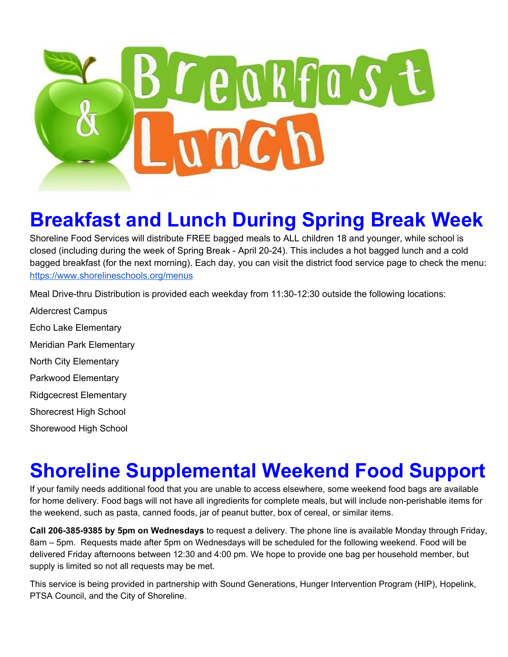

### **Breakfast and Lunch During Spring Break Week**

Shoreline Food Services will distribute FREE bagged meals to ALL children 18 and younger, while school is closed (including during the week of Spring Break - April 20-24). This includes a hot bagged lunch and a cold bagged breakfast (for the next morning). Each day, you can visit the district food service page to check the menu: <https://www.shorelineschools.org/menus>

Meal Drive-thru Distribution is provided each weekday from 11:30-12:30 outside the following locations:

Aldercrest Campus Echo Lake Elementary Meridian Park Elementary North City Elementary Parkwood Elementary Ridgcecrest Elementary Shorecrest High School Shorewood High School

### **Shoreline Supplemental Weekend Food Support**

If your family needs additional food that you are unable to access elsewhere, some weekend food bags are available for home delivery. Food bags will not have all ingredients for complete meals, but will include non-perishable items for the weekend, such as pasta, canned foods, jar of peanut butter, box of cereal, or similar items.

**Call 206-385-9385 by 5pm on Wednesdays** to request a delivery. The phone line is available Monday through Friday, 8am – 5pm. Requests made after 5pm on Wednesdays will be scheduled for the following weekend. Food will be delivered Friday afternoons between 12:30 and 4:00 pm. We hope to provide one bag per household member, but supply is limited so not all requests may be met.

This service is being provided in partnership with Sound Generations, Hunger Intervention Program (HIP), Hopelink, PTSA Council, and the City of Shoreline.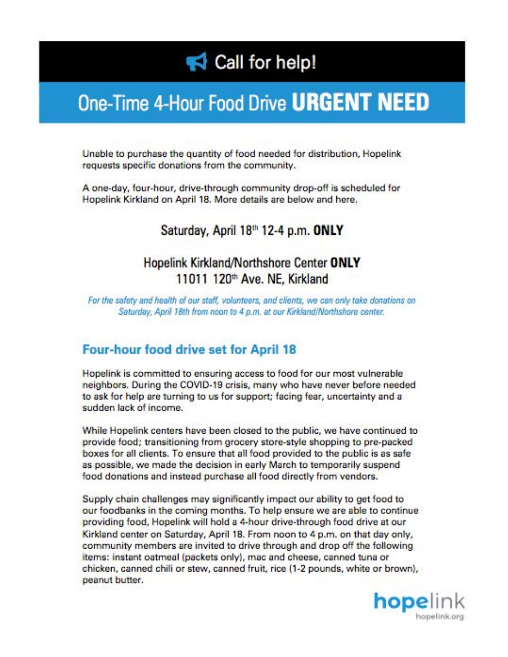### Call for help!

### One-Time 4-Hour Food Drive URGENT NEED

Unable to purchase the quantity of food needed for distribution, Hopelink requests specific donations from the community.

A one-day, four-hour, drive-through community drop-off is scheduled for Hopelink Kirkland on April 18. More details are below and here.

### Saturday, April 18th 12-4 p.m. ONLY

### Hopelink Kirkland/Northshore Center ONLY 11011 120<sup>th</sup> Ave. NE, Kirkland

For the safety and health of our staff, volunteers, and clients, we can only take donations on Saturday, April 18th from noon to 4 p.m. at our Kirkland/Northshore center.

### **Four-hour food drive set for April 18**

Hopelink is committed to ensuring access to food for our most vulnerable neighbors. During the COVID-19 crisis, many who have never before needed to ask for help are turning to us for support; facing fear, uncertainty and a sudden lack of income.

While Hopelink centers have been closed to the public, we have continued to provide food; transitioning from grocery store-style shopping to pre-packed boxes for all clients. To ensure that all food provided to the public is as safe as possible, we made the decision in early March to temporarily suspend food donations and instead purchase all food directly from vendors.

Supply chain challenges may significantly impact our ability to get food to our foodbanks in the coming months. To help ensure we are able to continue providing food, Hopelink will hold a 4-hour drive-through food drive at our Kirkland center on Saturday, April 18. From noon to 4 p.m. on that day only, community members are invited to drive through and drop off the following items: instant oatmeal (packets only), mac and cheese, canned tuna or chicken, canned chili or stew, canned fruit, rice (1-2 pounds, white or brown), peanut butter.